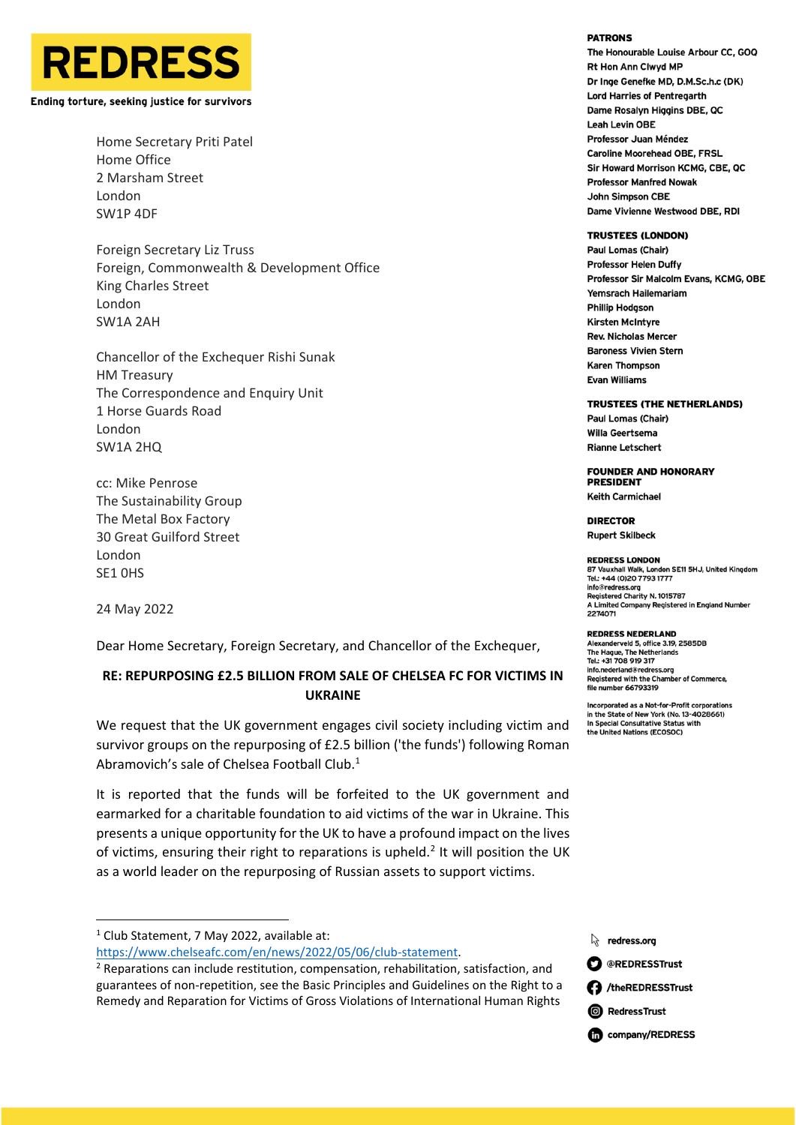

## Ending torture, seeking justice for survivors

Home Secretary Priti Patel Home Office 2 Marsham Street London SW1P 4DF

Foreign Secretary Liz Truss Foreign, Commonwealth & Development Office King Charles Street London SW1A 2AH

Chancellor of the Exchequer Rishi Sunak HM Treasury The Correspondence and Enquiry Unit 1 Horse Guards Road London SW1A 2HQ

cc: Mike Penrose The Sustainability Group The Metal Box Factory 30 Great Guilford Street London SE1 0HS

24 May 2022

Dear Home Secretary, Foreign Secretary, and Chancellor of the Exchequer,

# **RE: REPURPOSING £2.5 BILLION FROM SALE OF CHELSEA FC FOR VICTIMS IN UKRAINE**

We request that the UK government engages civil society including victim and survivor groups on the repurposing of £2.5 billion ('the funds') following Roman Abramovich's sale of Chelsea Football Club.<sup>1</sup>

It is reported that the funds will be forfeited to the UK government and earmarked for a charitable foundation to aid victims of the war in Ukraine. This presents a unique opportunity for the UK to have a profound impact on the lives of victims, ensuring their right to reparations is upheld.<sup>2</sup> It will position the UK as a world leader on the repurposing of Russian assets to support victims.

[https://www.chelseafc.com/en/news/2022/05/06/club-statement.](https://www.chelseafc.com/en/news/2022/05/06/club-statement)

#### **PATRONS**

The Honourable Louise Arbour CC, GOQ Rt Hon Ann Clwyd MP Dr Inge Genefke MD, D.M.Sc.h.c (DK) **Lord Harries of Pentregarth** Dame Rosalyn Higgins DBE, QC Leah Levin OBE Professor Juan Méndez **Caroline Moorehead OBE, FRSL** Sir Howard Morrison KCMG, CBE, QC **Professor Manfred Nowak John Simpson CBE** Dame Vivienne Westwood DBE, RDI

### **TRUSTEES (LONDON)**

Paul Lomas (Chair) **Professor Helen Duffy** Professor Sir Malcolm Evans, KCMG, OBE Yemsrach Hailemariam **Phillip Hodason Kirsten McIntyre Rev. Nicholas Mercer Raroness Vivien Stern Karen Thompson Evan Williams** 

**TRUSTEES (THE NETHERLANDS)** Paul Lomas (Chair) Willa Geertsema **Rianne Letschert** 

**FOUNDER AND HONORARY DDFSIDFNT Keith Carmichael** 

**DIRECTOR Rupert Skilbeck** 

**REDRESS LONDON** ----------- ------------<br>87 Vauxhall Walk, London SE11 5HJ, United Kingdom or vauxnam want, Lunuun .<br>Tel.: +44 (0)20 7793 1777 info@redress.org<br>Registered Charity N. 1015787<br>A Limited Company Registered in England Number 2274071

#### **REDRESS NEDERLAND**

Alexanderveld 5, office 3.19, 2585DB The Hague, The Netherlands<br>Tel.: +31 708 919 317 info.nederland@redress.org file number 66793319

Incorporated as a Not-for-Profit corporat tions in the State of New York (No. 13-4028661) In the state of New York (No. 13746)<br>In Special Consultative Status with<br>the United Nations (ECOSOC)

| $\mathbb{R}$ redress.org          |
|-----------------------------------|
| <b><sup>O</sup></b> @REDRESSTrust |
| <b>(1)</b> /theREDRESSTrust       |
| <b>@</b> RedressTrust             |

company/REDRESS

 $1$  Club Statement, 7 May 2022, available at:

 $2$  Reparations can include restitution, compensation, rehabilitation, satisfaction, and guarantees of non-repetition, see the Basic Principles and Guidelines on the Right to a Remedy and Reparation for Victims of Gross Violations of International Human Rights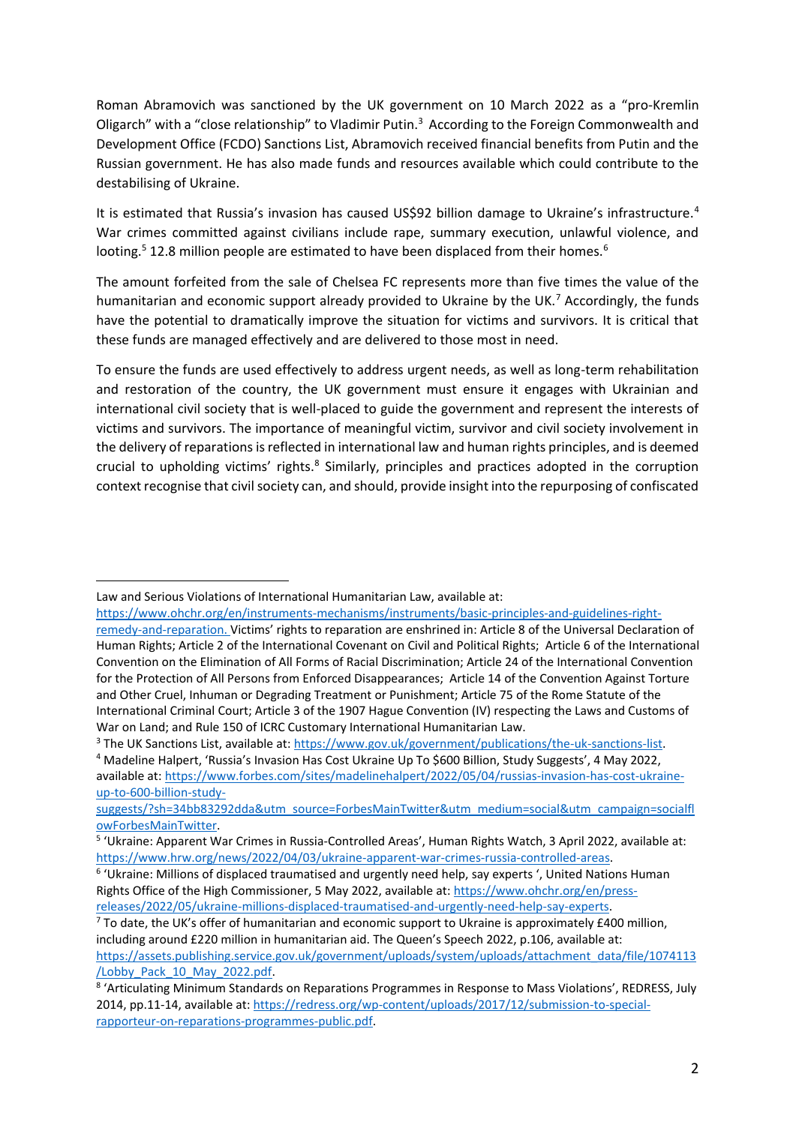Roman Abramovich was sanctioned by the UK government on 10 March 2022 as a "pro-Kremlin Oligarch" with a "close relationship" to Vladimir Putin.<sup>3</sup> According to the Foreign Commonwealth and Development Office (FCDO) Sanctions List, Abramovich received financial benefits from Putin and the Russian government. He has also made funds and resources available which could contribute to the destabilising of Ukraine.

It is estimated that Russia's invasion has caused US\$92 billion damage to Ukraine's infrastructure.<sup>4</sup> War crimes committed against civilians include rape, summary execution, unlawful violence, and looting.<sup>5</sup> 12.8 million people are estimated to have been displaced from their homes.<sup>6</sup>

The amount forfeited from the sale of Chelsea FC represents more than five times the value of the humanitarian and economic support already provided to Ukraine by the UK.<sup>7</sup> Accordingly, the funds have the potential to dramatically improve the situation for victims and survivors. It is critical that these funds are managed effectively and are delivered to those most in need.

To ensure the funds are used effectively to address urgent needs, as well as long-term rehabilitation and restoration of the country, the UK government must ensure it engages with Ukrainian and international civil society that is well-placed to guide the government and represent the interests of victims and survivors. The importance of meaningful victim, survivor and civil society involvement in the delivery of reparations is reflected in international law and human rights principles, and is deemed crucial to upholding victims' rights.<sup>8</sup> Similarly, principles and practices adopted in the corruption context recognise that civil society can, and should, provide insight into the repurposing of confiscated

[https://www.ohchr.org/en/instruments-mechanisms/instruments/basic-principles-and-guidelines-right-](https://www.ohchr.org/en/instruments-mechanisms/instruments/basic-principles-and-guidelines-right-remedy-and-reparation)

<sup>3</sup> The UK Sanctions List, available at: [https://www.gov.uk/government/publications/the-uk-sanctions-list.](https://www.gov.uk/government/publications/the-uk-sanctions-list) <sup>4</sup> Madeline Halpert, 'Russia's Invasion Has Cost Ukraine Up To \$600 Billion, Study Suggests', 4 May 2022,

available at[: https://www.forbes.com/sites/madelinehalpert/2022/05/04/russias-invasion-has-cost-ukraine](https://www.forbes.com/sites/madelinehalpert/2022/05/04/russias-invasion-has-cost-ukraine-up-to-600-billion-study-suggests/?sh=34bb83292dda&utm_source=ForbesMainTwitter&utm_medium=social&utm_campaign=socialflowForbesMainTwitter)[up-to-600-billion-study-](https://www.forbes.com/sites/madelinehalpert/2022/05/04/russias-invasion-has-cost-ukraine-up-to-600-billion-study-suggests/?sh=34bb83292dda&utm_source=ForbesMainTwitter&utm_medium=social&utm_campaign=socialflowForbesMainTwitter)

Law and Serious Violations of International Humanitarian Law, available at:

[remedy-and-reparation.](https://www.ohchr.org/en/instruments-mechanisms/instruments/basic-principles-and-guidelines-right-remedy-and-reparation) Victims' rights to reparation are enshrined in: Article 8 of the Universal Declaration of Human Rights; Article 2 of the International Covenant on Civil and Political Rights; Article 6 of the International Convention on the Elimination of All Forms of Racial Discrimination; Article 24 of the International Convention for the Protection of All Persons from Enforced Disappearances; Article 14 of the Convention Against Torture and Other Cruel, Inhuman or Degrading Treatment or Punishment; Article 75 of the Rome Statute of the International Criminal Court; Article 3 of the 1907 Hague Convention (IV) respecting the Laws and Customs of War on Land; and Rule 150 of ICRC Customary International Humanitarian Law.

[suggests/?sh=34bb83292dda&utm\\_source=ForbesMainTwitter&utm\\_medium=social&utm\\_campaign=socialfl](https://www.forbes.com/sites/madelinehalpert/2022/05/04/russias-invasion-has-cost-ukraine-up-to-600-billion-study-suggests/?sh=34bb83292dda&utm_source=ForbesMainTwitter&utm_medium=social&utm_campaign=socialflowForbesMainTwitter) [owForbesMainTwitter.](https://www.forbes.com/sites/madelinehalpert/2022/05/04/russias-invasion-has-cost-ukraine-up-to-600-billion-study-suggests/?sh=34bb83292dda&utm_source=ForbesMainTwitter&utm_medium=social&utm_campaign=socialflowForbesMainTwitter) 

<sup>5</sup> 'Ukraine: Apparent War Crimes in Russia-Controlled Areas', Human Rights Watch, 3 April 2022, available at: [https://www.hrw.org/news/2022/04/03/ukraine-apparent-war-crimes-russia-controlled-areas.](https://www.hrw.org/news/2022/04/03/ukraine-apparent-war-crimes-russia-controlled-areas)

<sup>&</sup>lt;sup>6</sup> 'Ukraine: Millions of displaced traumatised and urgently need help, say experts ', United Nations Human Rights Office of the High Commissioner, 5 May 2022, available at[: https://www.ohchr.org/en/press](https://www.ohchr.org/en/press-releases/2022/05/ukraine-millions-displaced-traumatised-and-urgently-need-help-say-experts)[releases/2022/05/ukraine-millions-displaced-traumatised-and-urgently-need-help-say-experts.](https://www.ohchr.org/en/press-releases/2022/05/ukraine-millions-displaced-traumatised-and-urgently-need-help-say-experts)

 $7$  To date, the UK's offer of humanitarian and economic support to Ukraine is approximately £400 million, including around £220 million in humanitarian aid. The Queen's Speech 2022, p.106, available at: [https://assets.publishing.service.gov.uk/government/uploads/system/uploads/attachment\\_data/file/1074113](https://assets.publishing.service.gov.uk/government/uploads/system/uploads/attachment_data/file/1074113/Lobby_Pack_10_May_2022.pdf) [/Lobby\\_Pack\\_10\\_May\\_2022.pdf.](https://assets.publishing.service.gov.uk/government/uploads/system/uploads/attachment_data/file/1074113/Lobby_Pack_10_May_2022.pdf)

<sup>&</sup>lt;sup>8</sup> 'Articulating Minimum Standards on Reparations Programmes in Response to Mass Violations', REDRESS, July 2014, pp.11-14, available at[: https://redress.org/wp-content/uploads/2017/12/submission-to-special](https://redress.org/wp-content/uploads/2017/12/submission-to-special-rapporteur-on-reparations-programmes-public.pdf)[rapporteur-on-reparations-programmes-public.pdf.](https://redress.org/wp-content/uploads/2017/12/submission-to-special-rapporteur-on-reparations-programmes-public.pdf)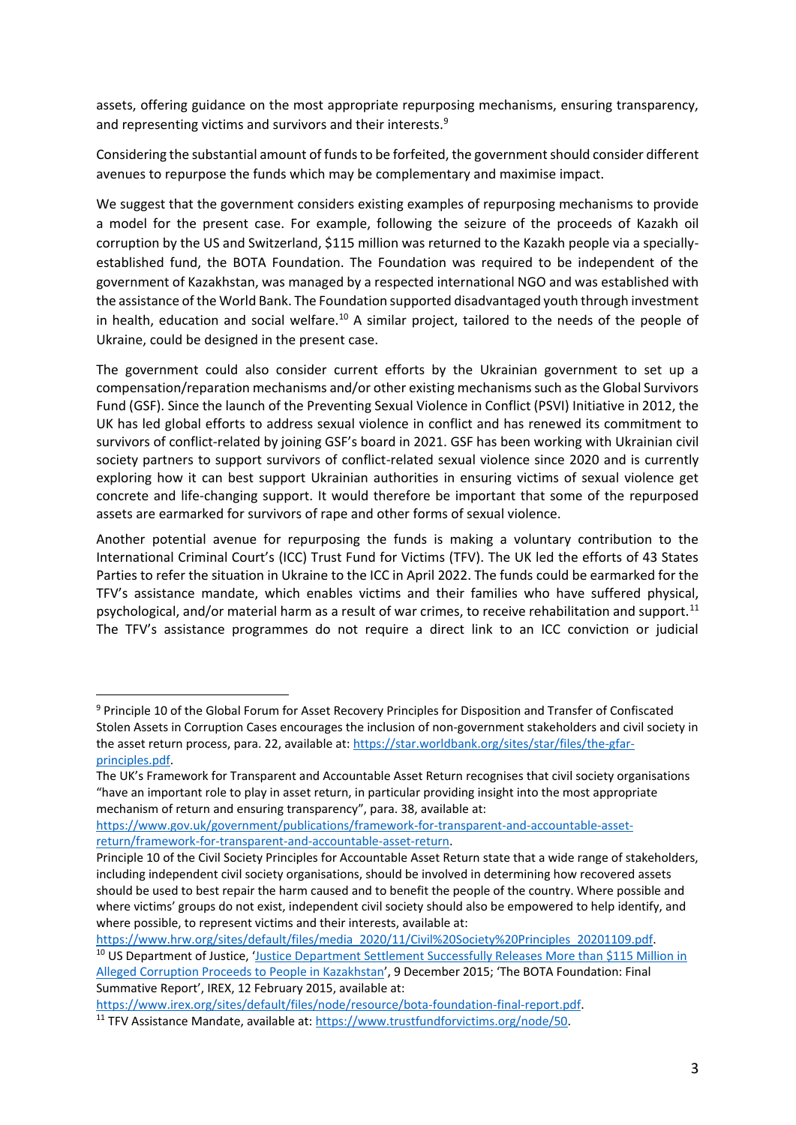assets, offering guidance on the most appropriate repurposing mechanisms, ensuring transparency, and representing victims and survivors and their interests.<sup>9</sup>

Considering the substantial amount of funds to be forfeited, the government should consider different avenues to repurpose the funds which may be complementary and maximise impact.

We suggest that the government considers existing examples of repurposing mechanisms to provide a model for the present case. For example, following the seizure of the proceeds of Kazakh oil corruption by the US and Switzerland, \$115 million was returned to the Kazakh people via a speciallyestablished fund, the BOTA Foundation. The Foundation was required to be independent of the government of Kazakhstan, was managed by a respected international NGO and was established with the assistance of the World Bank. The Foundation supported disadvantaged youth through investment in health, education and social welfare.<sup>10</sup> A similar project, tailored to the needs of the people of Ukraine, could be designed in the present case.

The government could also consider current efforts by the Ukrainian government to set up a compensation/reparation mechanisms and/or other existing mechanisms such as the Global Survivors Fund (GSF). Since the launch of the Preventing Sexual Violence in Conflict (PSVI) Initiative in 2012, the UK has led global efforts to address sexual violence in conflict and has renewed its commitment to survivors of conflict-related by joining GSF's board in 2021. GSF has been working with Ukrainian civil society partners to support survivors of conflict-related sexual violence since 2020 and is currently exploring how it can best support Ukrainian authorities in ensuring victims of sexual violence get concrete and life-changing support. It would therefore be important that some of the repurposed assets are earmarked for survivors of rape and other forms of sexual violence.

Another potential avenue for repurposing the funds is making a voluntary contribution to the International Criminal Court's (ICC) Trust Fund for Victims (TFV). The UK led the efforts of 43 States Parties to refer the situation in Ukraine to the ICC in April 2022. The funds could be earmarked for the TFV's assistance mandate, which enables victims and their families who have suffered physical, psychological, and/or material harm as a result of war crimes, to receive rehabilitation and support.<sup>11</sup> The TFV's assistance programmes do not require a direct link to an ICC conviction or judicial

<sup>9</sup> Principle 10 of the Global Forum for Asset Recovery Principles for Disposition and Transfer of Confiscated Stolen Assets in Corruption Cases encourages the inclusion of non-government stakeholders and civil society in the asset return process, para. 22, available at: [https://star.worldbank.org/sites/star/files/the-gfar](https://star.worldbank.org/sites/star/files/the-gfar-principles.pdf)[principles.pdf.](https://star.worldbank.org/sites/star/files/the-gfar-principles.pdf) 

The UK's Framework for Transparent and Accountable Asset Return recognises that civil society organisations "have an important role to play in asset return, in particular providing insight into the most appropriate mechanism of return and ensuring transparency", para. 38, available at:

[https://www.gov.uk/government/publications/framework-for-transparent-and-accountable-asset](https://www.gov.uk/government/publications/framework-for-transparent-and-accountable-asset-return/framework-for-transparent-and-accountable-asset-return)[return/framework-for-transparent-and-accountable-asset-return.](https://www.gov.uk/government/publications/framework-for-transparent-and-accountable-asset-return/framework-for-transparent-and-accountable-asset-return)

Principle 10 of the Civil Society Principles for Accountable Asset Return state that a wide range of stakeholders, including independent civil society organisations, should be involved in determining how recovered assets should be used to best repair the harm caused and to benefit the people of the country. Where possible and where victims' groups do not exist, independent civil society should also be empowered to help identify, and where possible, to represent victims and their interests, available at:

[https://www.hrw.org/sites/default/files/media\\_2020/11/Civil%20Society%20Principles\\_20201109.pdf.](https://www.hrw.org/sites/default/files/media_2020/11/Civil%20Society%20Principles_20201109.pdf) <sup>10</sup> US Department of Justice, 'Justice Department Settlement Successfully Releases More than \$115 Million in

[Alleged Corruption Proceeds to People in Kazakhstan](https://www.justice.gov/opa/pr/justice-department-settlement-successfully-releases-more-115-million-alleged-corruption)', 9 December 2015; 'The BOTA Foundation: Final Summative Report', IREX, 12 February 2015, available at:

[https://www.irex.org/sites/default/files/node/resource/bota-foundation-final-report.pdf.](https://www.irex.org/sites/default/files/node/resource/bota-foundation-final-report.pdf)

<sup>11</sup> TFV Assistance Mandate, available at: [https://www.trustfundforvictims.org/node/50.](https://www.trustfundforvictims.org/node/50)